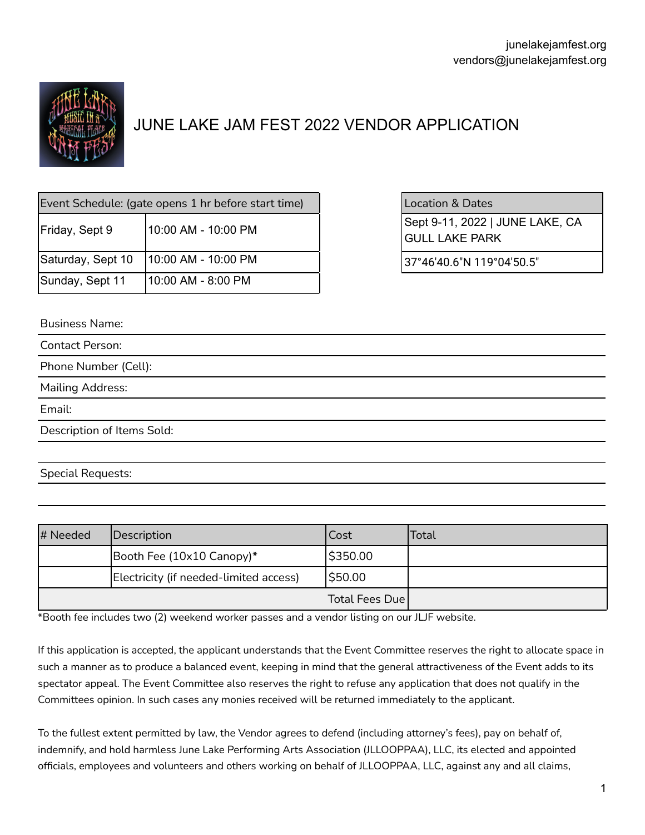

# JUNE LAKE JAM FEST 2022 VENDOR APPLICATION

| Event Schedule: (gate opens 1 hr before start time) |                     |  |
|-----------------------------------------------------|---------------------|--|
| Friday, Sept 9                                      | 10:00 AM - 10:00 PM |  |
| Saturday, Sept 10                                   | 10:00 AM - 10:00 PM |  |
| Sunday, Sept 11                                     | 10:00 AM - 8:00 PM  |  |

### Location & Dates

Sept 9-11, 2022 | JUNE LAKE, CA GULL LAKE PARK

 $37°46'40.6"N 119°04'50.5"$ 

Business Name:

| <b>Contact Person:</b>     |  |  |
|----------------------------|--|--|
| Phone Number (Cell):       |  |  |
| <b>Mailing Address:</b>    |  |  |
| Email:                     |  |  |
| Description of Items Sold: |  |  |
|                            |  |  |
|                            |  |  |

Special Requests:

| # Needed | Description                            | Cost           | Total |
|----------|----------------------------------------|----------------|-------|
|          | Booth Fee $(10x10$ Canopy)*            | \$350.00       |       |
|          | Electricity (if needed-limited access) | \$50.00        |       |
|          |                                        | Total Fees Due |       |

\*Booth fee includes two (2) weekend worker passes and a vendor listing on our JLJF website.

If this application is accepted, the applicant understands that the Event Committee reserves the right to allocate space in such a manner as to produce a balanced event, keeping in mind that the general attractiveness of the Event adds to its spectator appeal. The Event Committee also reserves the right to refuse any application that does not qualify in the Committees opinion. In such cases any monies received will be returned immediately to the applicant.

To the fullest extent permitted by law, the Vendor agrees to defend (including attorney's fees), pay on behalf of, indemnify, and hold harmless June Lake Performing Arts Association (JLLOOPPAA), LLC, its elected and appointed officials, employees and volunteers and others working on behalf of JLLOOPPAA, LLC, against any and all claims,